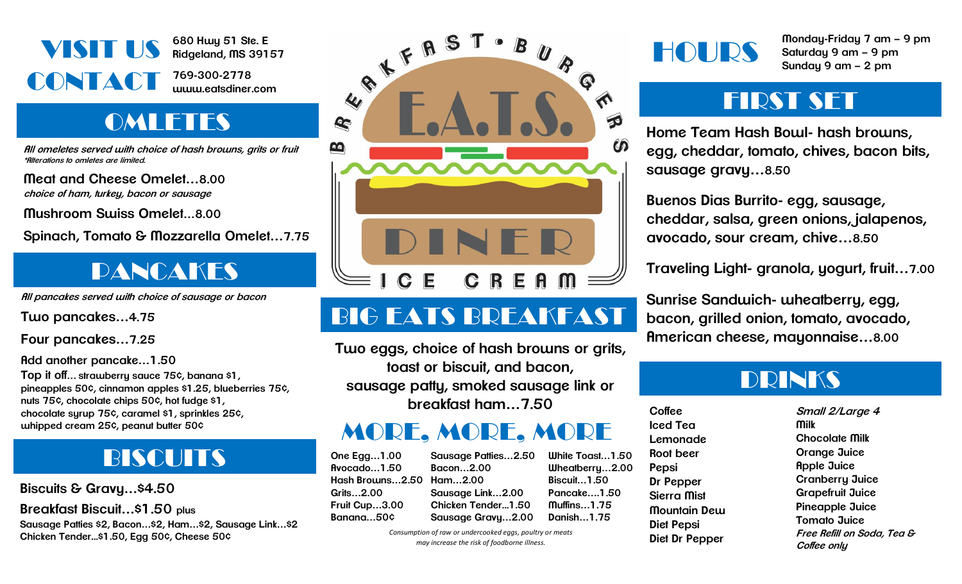

**680 Hwy 51 Ste. E Ridgeland, MS 39157**

**769-300-2778 www.eatsdiner.com**

# **OMLETES**

**All omeletes served with choice of hash browns, grits or fruit \*Alterations to omletes are limited.**

**Meat and Cheese Omelet…8.00 choice of ham, turkey, bacon or sausage**

**Mushroom Swiss Omelet…8.00**

**Spinach, Tomato & Mozzarella Omelet…7.75**

## PANCAKES

**All pancakes served with choice of sausage or bacon**

**Two pancakes…4.75**

**Four pancakes…7.25**

**Add another pancake…1.50**

**Top it off… strawberry sauce 75¢, banana \$1, pineapples 50¢, cinnamon apples \$1.25, blueberries 75¢, nuts 75¢, chocolate chips 50¢, hot fudge \$1, chocolate syrup 75¢, caramel \$1, sprinkles 25¢, whipped cream 25¢, peanut butter 50¢**

# **BISCUITS One Egg...1.00**

**Biscuits & Gravy…\$4.50**

**Breakfast Biscuit…\$1.50 plus**

**Sausage Patties \$2, Bacon…\$2, Ham…\$2, Sausage Link…\$2 Chicken Tender...\$1.50, Egg 50¢, Cheese 50¢**



# BIG EATS BREAKFAST

**Two eggs, choice of hash browns or grits, toast or biscuit, and bacon, sausage patty, smoked sausage link or breakfast ham…7.50**

#### MORE, MORE, MORE

**Avocado…1.50 Hash Browns…2.50 Ham…2.00 Grits…2.00 Fruit Cup…3.00 Banana…50¢ Sausage Patties…2.50 Bacon…2.00 Sausage Link…2.00 Chicken Tender...1.50 Sausage Gravy…2.00**

**White Toast…1.50 Wheatberry…2.00 Biscuit…1.50 Pancake….1.50 Muffins…1.75 Danish…1.75**

*Consumption of raw or undercooked eggs, poultry or meats may increase the risk of foodborne illness.*

HOURS

**Monday-Friday 7 am – 9 pm Saturday 9 am – 9 pm Sunday 9 am – 2 pm**

#### FIRST SET

**Home Team Hash Bowl- hash browns, egg, cheddar, tomato, chives, bacon bits, sausage gravy…8.50**

**Buenos Dias Burrito- egg, sausage, cheddar, salsa, green onions, jalapenos, avocado, sour cream, chive…8.50**

**Traveling Light- granola, yogurt, fruit…7.00**

**Sunrise Sandwich- wheatberry, egg, bacon, grilled onion, tomato, avocado, American cheese, mayonnaise…8.00**

#### DRINKS

**Coffee Iced Tea Lemonade Root beer Pepsi Dr Pepper Sierra Mist Mountain Dew Diet Pepsi Diet Dr Pepper**

**Small 2/Large 4 Milk Chocolate Milk Orange Juice Apple Juice Cranberry Juice Grapefruit Juice Pineapple Juice Tomato Juice Free Refill on Soda, Tea & Coffee only**